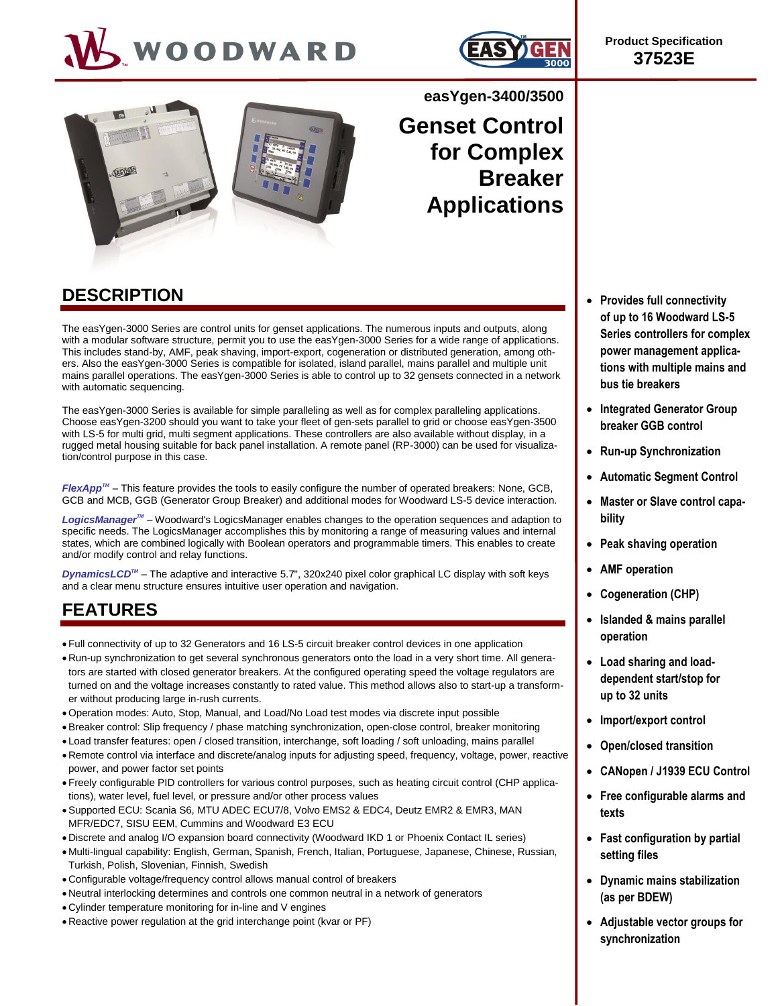# WOODWARD







## **easYgen-3400/3500**

**Genset Control for Complex Breaker Applications**

## **DESCRIPTION**

The easYgen-3000 Series are control units for genset applications. The numerous inputs and outputs, along with a modular software structure, permit you to use the easYgen-3000 Series for a wide range of applications. This includes stand-by, AMF, peak shaving, import-export, cogeneration or distributed generation, among others. Also the easYgen-3000 Series is compatible for isolated, island parallel, mains parallel and multiple unit mains parallel operations. The easYgen-3000 Series is able to control up to 32 gensets connected in a network with automatic sequencing.

The easYgen-3000 Series is available for simple paralleling as well as for complex paralleling applications. Choose easYgen-3200 should you want to take your fleet of gen-sets parallel to grid or choose easYgen-3500 with LS-5 for multi grid, multi segment applications. These controllers are also available without display, in a rugged metal housing suitable for back panel installation. A remote panel (RP-3000) can be used for visualization/control purpose in this case.

*FlexAppTM* – This feature provides the tools to easily configure the number of operated breakers: None, GCB, GCB and MCB, GGB (Generator Group Breaker) and additional modes for Woodward LS-5 device interaction.

*LogicsManagerTM* – Woodward's LogicsManager enables changes to the operation sequences and adaption to specific needs. The LogicsManager accomplishes this by monitoring a range of measuring values and internal states, which are combined logically with Boolean operators and programmable timers. This enables to create and/or modify control and relay functions.

*DynamicsLCD<sup>™</sup>* – The adaptive and interactive 5.7", 320x240 pixel color graphical LC display with soft keys and a clear menu structure ensures intuitive user operation and navigation.

## **FEATURES**

- Full connectivity of up to 32 Generators and 16 LS-5 circuit breaker control devices in one application
- Run-up synchronization to get several synchronous generators onto the load in a very short time. All generators are started with closed generator breakers. At the configured operating speed the voltage regulators are turned on and the voltage increases constantly to rated value. This method allows also to start-up a transformer without producing large in-rush currents.
- Operation modes: Auto, Stop, Manual, and Load/No Load test modes via discrete input possible
- Breaker control: Slip frequency / phase matching synchronization, open-close control, breaker monitoring
- Load transfer features: open / closed transition, interchange, soft loading / soft unloading, mains parallel
- Remote control via interface and discrete/analog inputs for adjusting speed, frequency, voltage, power, reactive power, and power factor set points
- Freely configurable PID controllers for various control purposes, such as heating circuit control (CHP applications), water level, fuel level, or pressure and/or other process values
- · Supported ECU: Scania S6, MTU ADEC ECU7/8, Volvo EMS2 & EDC4, Deutz EMR2 & EMR3, MAN MFR/EDC7, SISU EEM, Cummins and Woodward E3 ECU
- Discrete and analog I/O expansion board connectivity (Woodward IKD 1 or Phoenix Contact IL series)
- Multi-lingual capability: English, German, Spanish, French, Italian, Portuguese, Japanese, Chinese, Russian, Turkish, Polish, Slovenian, Finnish, Swedish
- Configurable voltage/frequency control allows manual control of breakers
- Neutral interlocking determines and controls one common neutral in a network of generators
- Cylinder temperature monitoring for in-line and V engines
- Reactive power regulation at the grid interchange point (kvar or PF)
- **Provides full connectivity of up to 16 Woodward LS-5 Series controllers for complex power management applications with multiple mains and bus tie breakers**
- **Integrated Generator Group breaker GGB control**
- **Run-up Synchronization**
- **Automatic Segment Control**
- **Master or Slave control capability**
- **Peak shaving operation**
- **AMF operation**
- **Cogeneration (CHP)**
- **Islanded & mains parallel operation**
- **Load sharing and loaddependent start/stop for up to 32 units**
- **Import/export control**
- **Open/closed transition**
- **CANopen / J1939 ECU Control**
- **Free configurable alarms and texts**
- **Fast configuration by partial setting files**
- **Dynamic mains stabilization (as per BDEW)**
- **Adjustable vector groups for synchronization**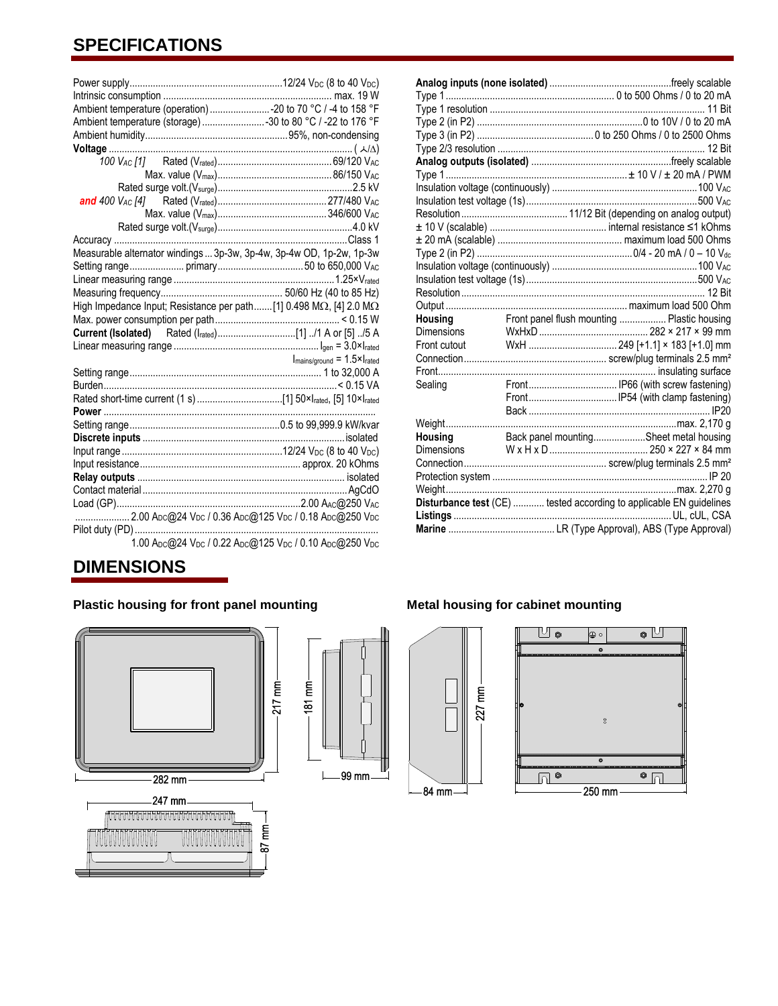## **SPECIFICATIONS**

| Ambient temperature (operation) -20 to 70 °C / -4 to 158 °F                         |                                                         |
|-------------------------------------------------------------------------------------|---------------------------------------------------------|
| Ambient temperature (storage) 30 to 80 °C / -22 to 176 °F                           |                                                         |
|                                                                                     |                                                         |
| $\noindent {\bf Voltage} \; {\cal A} \Delta \rangle$                                |                                                         |
|                                                                                     |                                                         |
|                                                                                     |                                                         |
|                                                                                     |                                                         |
|                                                                                     |                                                         |
|                                                                                     |                                                         |
|                                                                                     |                                                         |
|                                                                                     |                                                         |
| Measurable alternator windings  3p-3w, 3p-4w, 3p-4w OD, 1p-2w, 1p-3w                |                                                         |
|                                                                                     |                                                         |
|                                                                                     |                                                         |
|                                                                                     |                                                         |
| High Impedance Input; Resistance per path [1] 0.498 M $\Omega$ , [4] 2.0 M $\Omega$ |                                                         |
|                                                                                     |                                                         |
|                                                                                     |                                                         |
|                                                                                     |                                                         |
|                                                                                     | $I_{\text{mains/ground}} = 1.5 \times I_{\text{rated}}$ |
|                                                                                     |                                                         |
|                                                                                     |                                                         |
|                                                                                     |                                                         |
|                                                                                     |                                                         |
|                                                                                     |                                                         |
|                                                                                     |                                                         |
|                                                                                     |                                                         |
|                                                                                     |                                                         |
|                                                                                     |                                                         |
|                                                                                     |                                                         |
|                                                                                     |                                                         |
| 2.00 Apc@24 Vpc / 0.36 Apc@125 Vpc / 0.18 Apc@250 Vpc                               |                                                         |
| 1001 0011 10001 01051 10101 00501                                                   |                                                         |

1.00 ADC@24 VDC / 0.22 ADC@125 VDC / 0.10 ADC@250 VDC

## **DIMENSIONS**

### **Plastic housing for front panel mounting Metal housing for cabinet mounting**





84 mm

#### **Analog inputs (none isolated)** ...............................................freely scalable Type 1................................................................. 0 to 500 Ohms / 0 to 20 mA Type 1 resolution ................................................................................... 11 Bit Type 2 (in P2) ................................................................0 to 10V / 0 to 20 mA Type 3 (in P2) ............................................. 0 to 250 Ohms / 0 to 2500 Ohms Type 2/3 resolution ................................................................................ 12 Bit **Analog outputs (isolated)** ......................................................freely scalable Type 1......................................................................± 10 V / ± 20 mA / PWM Insulation voltage (continuously) ........................................................100 VAC Insulation test voltage (1s)..................................................................500 VAC Resolution......................................... 11/12 Bit (depending on analog output) ± 10 V (scalable) ............................................. internal resistance ≤1 kOhms ± 20 mA (scalable) ................................................ maximum load 500 Ohms Type 2 (in P2) ............................................................0/4 - 20 mA / 0 – 10 Vdc Insulation voltage (continuously) ........................................................100 VAC Insulation test voltage (1s)..................................................................500 VAC Resolution.............................................................................................. 12 Bit Output ......................................................................maximum load 500 Ohm Housing **Front panel flush mounting .................** Plastic housing Dimensions WxHxD.......................................... 282 × 217 × 99 mm Front cutout WxH .................................. 249 [+1.1] × 183 [+1.0] mm Connection....................................................... screw/plug terminals 2.5 mm² Front.................................................................................... insulating surface Sealing Front.................................. IP66 (with screw fastening) Front..................................IP54 (with clamp fastening) Back ...................................................................... IP20 Weight.........................................................................................max. 2,170 g Housing **Back panel mounting..................**Sheet metal housing Dimensions W x H x D...................................... 250 × 227 × 84 mm Connection....................................................... screw/plug terminals 2.5 mm² Protection system ................................................................................... IP 20 Weight.........................................................................................max. 2,270 g **Disturbance test** (CE) ............ tested according to applicable EN guidelines **Listings** ....................................................................................UL, cUL, CSA **Marine** ......................................... LR (Type Approval), ABS (Type Approval)

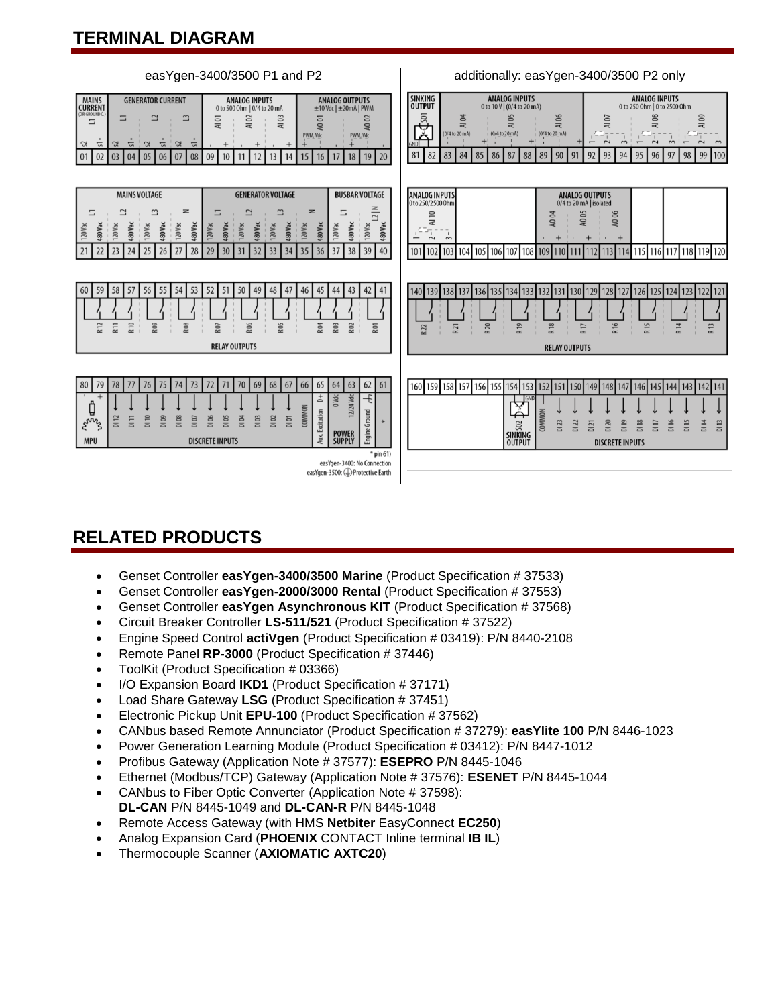## **TERMINAL DIAGRAM**



## **RELATED PRODUCTS**

- Genset Controller **easYgen-3400/3500 Marine** (Product Specification # 37533)
- Genset Controller **easYgen-2000/3000 Rental** (Product Specification # 37553)
- Genset Controller **easYgen Asynchronous KIT** (Product Specification # 37568)
- Circuit Breaker Controller **LS-511/521** (Product Specification # 37522)
- Engine Speed Control **actiVgen** (Product Specification # 03419): P/N 8440-2108
- Remote Panel **RP-3000** (Product Specification # 37446)
- ToolKit (Product Specification # 03366)
- I/O Expansion Board **IKD1** (Product Specification # 37171)
- Load Share Gateway **LSG** (Product Specification # 37451)
- Electronic Pickup Unit **EPU-100** (Product Specification # 37562)
- CANbus based Remote Annunciator (Product Specification # 37279): **easYlite 100** P/N 8446-1023
- Power Generation Learning Module (Product Specification # 03412): P/N 8447-1012
- Profibus Gateway (Application Note # 37577): **ESEPRO** P/N 8445-1046
- Ethernet (Modbus/TCP) Gateway (Application Note # 37576): **ESENET** P/N 8445-1044
- CANbus to Fiber Optic Converter (Application Note # 37598): **DL-CAN** P/N 8445-1049 and **DL-CAN-R** P/N 8445-1048
- Remote Access Gateway (with HMS **Netbiter** EasyConnect **EC250**)
- Analog Expansion Card (**PHOENIX** CONTACT Inline terminal **IB IL**)
- Thermocouple Scanner (**AXIOMATIC AXTC20**)